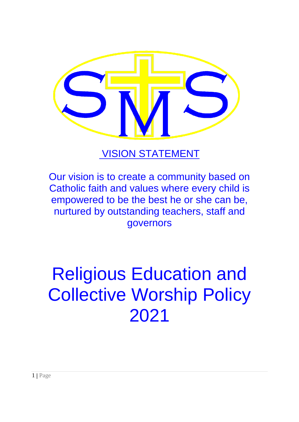

# VISION STATEMENT

Our vision is to create a community based on Catholic faith and values where every child is empowered to be the best he or she can be, nurtured by outstanding teachers, staff and governors

# Religious Education and Collective Worship Policy 2021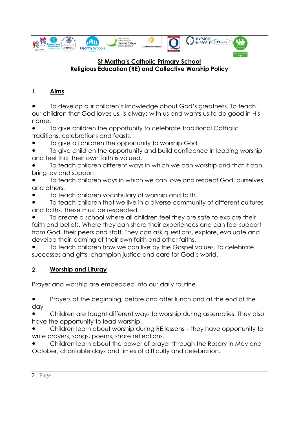

#### **St Martha's Catholic Primary School Religious Education (RE) and Collective Worship Policy**

# 1. **Aims**

To develop our children's knowledge about God's greatness. To teach our children that God loves us, is always with us and wants us to do good in His name.

To give children the opportunity to celebrate traditional Catholic traditions, celebrations and feasts.

To give all children the opportunity to worship God.

To give children the opportunity and build confidence in leading worship and feel that their own faith is valued.

To teach children different ways in which we can worship and that it can bring joy and support.

To teach children ways in which we can love and respect God, ourselves and others.

To teach children vocabulary of worship and faith.

To teach children that we live in a diverse community of different cultures and faiths. These must be respected.

To create a school where all children feel they are safe to explore their faith and beliefs. Where they can share their experiences and can feel support from God, their peers and staff. They can ask questions, explore, evaluate and develop their learning of their own faith and other faiths.

To teach children how we can live by the Gospel values. To celebrate successes and gifts, champion justice and care for God's world.

# 2. **Worship and Liturgy**

Prayer and worship are embedded into our daily routine.

Prayers at the beginning, before and after lunch and at the end of the day

Children are taught different ways to worship during assemblies. They also have the opportunity to lead worship.

Children learn about worship during RE lessons - they have opportunity to write prayers, songs, poems, share reflections.

Children learn about the power of prayer through the Rosary in May and October, charitable days and times of difficulty and celebration.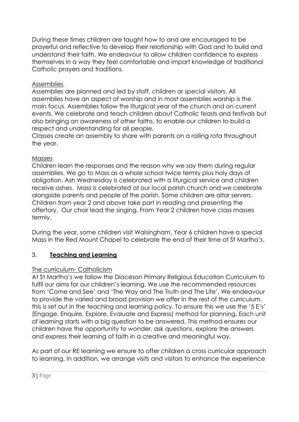During these times children are taught how to and are encouraged to be prayerful and reflective to develop their relationship with God and to build and understand their faith. We endeavour to allow children confidence to express themselves in a way they feel comfortable and impart knowledge of traditional Catholic prayers and traditions.

# Assemblies

Assemblies are planned and led by staff, children or special visitors. All assemblies have an aspect of worship and in most assemblies worship is the main focus. Assemblies follow the liturgical year of the church and on current events. We celebrate and teach children about Catholic feasts and festivals but also bringing an awareness of other faiths, to enable our children to build a respect and understanding for all people.

Classes create an assembly to share with parents on a rolling rota throughout the year.

# Masses

Children learn the responses and the reason why we say them during regular assemblies. We go to Mass as a whole school twice termly plus holy days of obligation. Ash Wednesday is celebrated with a liturgical service and children receive ashes. Mass is celebrated at our local parish church and we celebrate alongside parents and people of the parish. Some children are altar servers. Children from year 2 and above take part in reading and presenting the offertory. Our choir lead the singing. From Year 2 children have class masses termly.

During the year, some children visit Walsingham. Year 6 children have a special Mass in the Red Mount Chapel to celebrate the end of their time at St Martha's.

# 3. **Teaching and Learning**

# The curriculum- Catholicism

At St Martha's we follow the Diocesan Primary Religious Education Curriculum to fulfil our aims for our children's learning. We use the recommended resources from 'Come and See' and 'The Way and The Truth and The Life'. We endeavour to provide the varied and broad provision we offer in the rest of the curriculum, this is set out in the teaching and learning policy. To ensure this we use the '5 E's' (Engage, Enquire, Explore, Evaluate and Express) method for planning. Each unit of learning starts with a big question to be answered. This method ensures our children have the opportunity to wonder, ask questions, explore the answers and express their learning of faith in a creative and meaningful way.

As part of our RE learning we ensure to offer children a cross curricular approach to learning. In addition, we arrange visits and visitors to enhance the experience